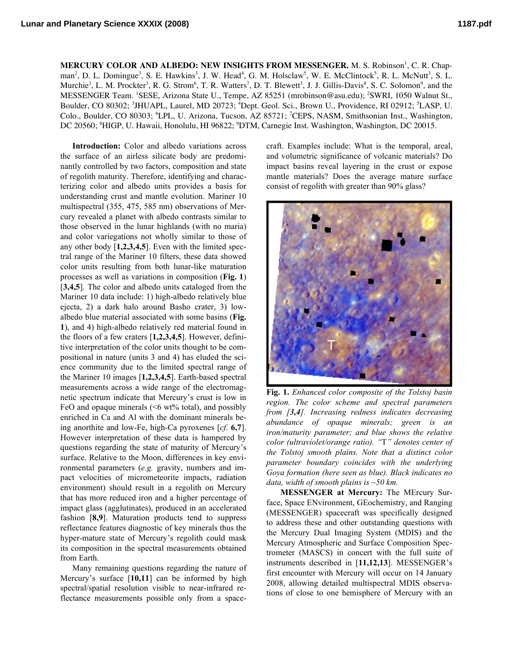**MERCURY COLOR AND ALBEDO: NEW INSIGHTS FROM MESSENGER. M. S. Robinson<sup>1</sup>, C. R. Chap**man<sup>2</sup>, D. L. Domingue<sup>3</sup>, S. E. Hawkins<sup>3</sup>, J. W. Head<sup>4</sup>, G. M. Holsclaw<sup>5</sup>, W. E. McClintock<sup>5</sup>, R. L. McNutt<sup>3</sup>, S. L. Murchie<sup>3</sup>, L. M. Prockter<sup>3</sup>, R. G. Strom<sup>6</sup>, T. R. Watters<sup>7</sup>, D. T. Blewett<sup>3</sup>, J. J. Gillis-Davis<sup>8</sup>, S. C. Solomon<sup>9</sup>, and the MESSENGER Team. <sup>1</sup>SESE, Arizona State U., Tempe, AZ 85251 (mrobinson@asu.edu); <sup>2</sup>SWRI, 1050 Walnut St., Boulder, CO 80302; <sup>3</sup>JHUAPL, Laurel, MD 20723; <sup>4</sup>Dept. Geol. Sci., Brown U., Providence, RI 02912; <sup>5</sup>LASP, U. Colo., Boulder, CO 80303; <sup>6</sup>LPL, U. Arizona, Tucson, AZ 85721; <sup>7</sup>CEPS, NASM, Smithsonian Inst., Washington, DC 20560; <sup>8</sup>HIGP, U. Hawaii, Honolulu, HI 96822; <sup>9</sup>DTM, Carnegie Inst. Washington, Washington, DC 20015.

**Introduction:** Color and albedo variations across the surface of an airless silicate body are predominantly controlled by two factors, composition and state of regolith maturity. Therefore, identifying and characterizing color and albedo units provides a basis for understanding crust and mantle evolution. Mariner 10 multispectral (355, 475, 585 nm) observations of Mercury revealed a planet with albedo contrasts similar to those observed in the lunar highlands (with no maria) and color variegations not wholly similar to those of any other body [**1,2,3,4,5**]. Even with the limited spectral range of the Mariner 10 filters, these data showed color units resulting from both lunar-like maturation processes as well as variations in composition (**Fig. 1**) [**3,4,5**]. The color and albedo units cataloged from the Mariner 10 data include: 1) high-albedo relatively blue ejecta, 2) a dark halo around Basho crater, 3) lowalbedo blue material associated with some basins (**Fig. 1**), and 4) high-albedo relatively red material found in the floors of a few craters [**1,2,3,4,5**]. However, definitive interpretation of the color units thought to be compositional in nature (units 3 and 4) has eluded the science community due to the limited spectral range of the Mariner 10 images [**1,2,3,4,5**]. Earth-based spectral measurements across a wide range of the electromagnetic spectrum indicate that Mercury's crust is low in FeO and opaque minerals  $( $6 \text{ wt}$ % total)$ , and possibly enriched in Ca and Al with the dominant minerals being anorthite and low-Fe, high-Ca pyroxenes [*cf*. **6,7**]. However interpretation of these data is hampered by questions regarding the state of maturity of Mercury's surface. Relative to the Moon, differences in key environmental parameters (*e.g.* gravity, numbers and impact velocities of micrometeorite impacts, radiation environment) should result in a regolith on Mercury that has more reduced iron and a higher percentage of impact glass (agglutinates), produced in an accelerated fashion [**8,9**]. Maturation products tend to suppress reflectance features diagnostic of key minerals thus the hyper-mature state of Mercury's regolith could mask its composition in the spectral measurements obtained from Earth.

Many remaining questions regarding the nature of Mercury's surface [**10,11**] can be informed by high spectral/spatial resolution visible to near-infrared reflectance measurements possible only from a spacecraft. Examples include: What is the temporal, areal, and volumetric significance of volcanic materials? Do impact basins reveal layering in the crust or expose mantle materials? Does the average mature surface consist of regolith with greater than 90% glass?



**Fig. 1.** *Enhanced color composite of the Tolstoj basin region. The color scheme and spectral parameters from [3,4]. Increasing redness indicates decreasing abundance of opaque minerals; green is an iron/maturity parameter; and blue shows the relative color (ultraviolet/orange ratio). "*T*" denotes center of the Tolstoj smooth plains. Note that a distinct color parameter boundary coincides with the underlying Goya formation (here seen as blue). Black indicates no data, width of smooth plains is ~50 km.*

**MESSENGER at Mercury:** The MErcury Surface, Space ENvironment, GEochemistry, and Ranging (MESSENGER) spacecraft was specifically designed to address these and other outstanding questions with the Mercury Dual Imaging System (MDIS) and the Mercury Atmospheric and Surface Composition Spectrometer (MASCS) in concert with the full suite of instruments described in [**11,12,13**]. MESSENGER's first encounter with Mercury will occur on 14 January 2008, allowing detailed multispectral MDIS observations of close to one hemisphere of Mercury with an